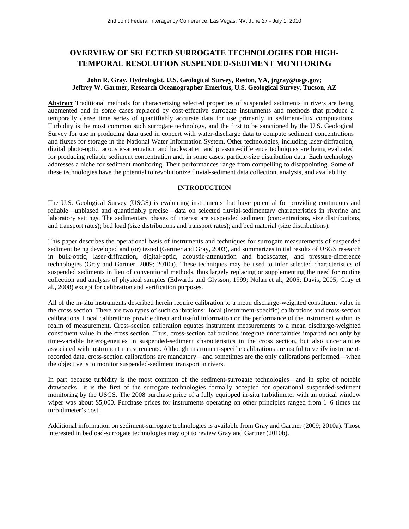# **OVERVIEW OF SELECTED SURROGATE TECHNOLOGIES FOR HIGH-TEMPORAL RESOLUTION SUSPENDED-SEDIMENT MONITORING**

#### **John R. Gray, Hydrologist, U.S. Geological Survey, Reston, VA, jrgray@usgs.gov; Jeffrey W. Gartner, Research Oceanographer Emeritus, U.S. Geological Survey, Tucson, AZ**

**Abstract** Traditional methods for characterizing selected properties of suspended sediments in rivers are being augmented and in some cases replaced by cost-effective surrogate instruments and methods that produce a temporally dense time series of quantifiably accurate data for use primarily in sediment-flux computations. Turbidity is the most common such surrogate technology, and the first to be sanctioned by the U.S. Geological Survey for use in producing data used in concert with water-discharge data to compute sediment concentrations and fluxes for storage in the National Water Information System. Other technologies, including laser-diffraction, digital photo-optic, acoustic-attenuation and backscatter, and pressure-difference techniques are being evaluated for producing reliable sediment concentration and, in some cases, particle-size distribution data. Each technology addresses a niche for sediment monitoring. Their performances range from compelling to disappointing. Some of these technologies have the potential to revolutionize fluvial-sediment data collection, analysis, and availability.

## **INTRODUCTION**

The U.S. Geological Survey (USGS) is evaluating instruments that have potential for providing continuous and reliable—unbiased and quantifiably precise—data on selected fluvial-sedimentary characteristics in riverine and laboratory settings. The sedimentary phases of interest are suspended sediment (concentrations, size distributions, and transport rates); bed load (size distributions and transport rates); and bed material (size distributions).

This paper describes the operational basis of instruments and techniques for surrogate measurements of suspended sediment being developed and (or) tested (Gartner and Gray, 2003), and summarizes initial results of USGS research in bulk-optic, laser-diffraction, digital-optic, acoustic-attenuation and backscatter, and pressure-difference technologies (Gray and Gartner, 2009; 2010a). These techniques may be used to infer selected characteristics of suspended sediments in lieu of conventional methods, thus largely replacing or supplementing the need for routine collection and analysis of physical samples (Edwards and Glysson, 1999; Nolan et al., 2005; Davis, 2005; Gray et al., 2008) except for calibration and verification purposes.

All of the in-situ instruments described herein require calibration to a mean discharge-weighted constituent value in the cross section. There are two types of such calibrations: local (instrument-specific) calibrations and cross-section calibrations. Local calibrations provide direct and useful information on the performance of the instrument within its realm of measurement. Cross-section calibration equates instrument measurements to a mean discharge-weighted constituent value in the cross section. Thus, cross-section calibrations integrate uncertainties imparted not only by time-variable heterogeneities in suspended-sediment characteristics in the cross section, but also uncertainties associated with instrument measurements. Although instrument-specific calibrations are useful to verify instrumentrecorded data, cross-section calibrations are mandatory—and sometimes are the only calibrations performed—when the objective is to monitor suspended-sediment transport in rivers.

In part because turbidity is the most common of the sediment-surrogate technologies—and in spite of notable drawbacks—it is the first of the surrogate technologies formally accepted for operational suspended-sediment monitoring by the USGS. The 2008 purchase price of a fully equipped in-situ turbidimeter with an optical window wiper was about \$5,000. Purchase prices for instruments operating on other principles ranged from 1–6 times the turbidimeter's cost.

Additional information on sediment-surrogate technologies is available from Gray and Gartner (2009; 2010a). Those interested in bedload-surrogate technologies may opt to review Gray and Gartner (2010b).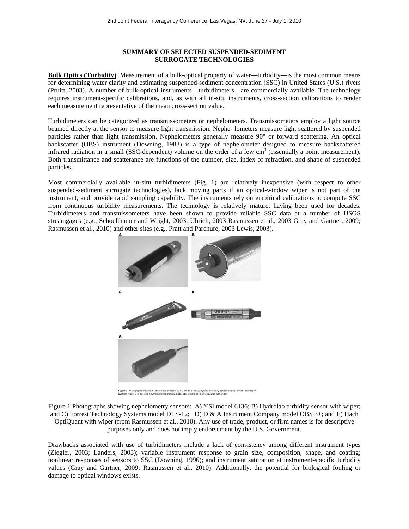## **SUMMARY OF SELECTED SUSPENDED-SEDIMENT SURROGATE TECHNOLOGIES**

**Bulk Optics (Turbidity)** Measurement of a bulk-optical property of water—turbidity—is the most common means for determining water clarity and estimating suspended-sediment concentration (SSC) in United States (U.S.) rivers (Pruitt, 2003). A number of bulk-optical instruments—turbidimeters—are commercially available. The technology requires instrument-specific calibrations, and, as with all in-situ instruments, cross-section calibrations to render each measurement representative of the mean cross-section value.

Turbidimeters can be categorized as transmissometers or nephelometers. Transmissometers employ a light source beamed directly at the sensor to measure light transmission. Nephe- lometers measure light scattered by suspended particles rather than light transmission. Nephelometers generally measure 90° or forward scattering. An optical backscatter (OBS) instrument (Downing, 1983) is a type of nephelometer designed to measure backscattered infrared radiation in a small (SSC-dependent) volume on the order of a few  $cm<sup>3</sup>$  (essentially a point measurement). Both transmittance and scatterance are functions of the number, size, index of refraction, and shape of suspended particles.

Most commercially available in-situ turbidimeters (Fig. 1) are relatively inexpensive (with respect to other suspended-sediment surrogate technologies), lack moving parts if an optical-window wiper is not part of the instrument, and provide rapid sampling capability. The instruments rely on empirical calibrations to compute SSC from continuous turbidity measurements. The technology is relatively mature, having been used for decades. Turbidimeters and transmissometers have been shown to provide reliable SSC data at a number of USGS streamgages (e.g., Schoellhamer and Wright, 2003; Uhrich, 2003 Rasmussen et al., 2003 Gray and Gartner, 2009; Rasmussen et al., 2010) and other sites (e.g., Pratt and Parchure, 2003 Lewis, 2003).



Figure 5. Photographs showing nephelometry sensors: A) YSI model 6136; B) Hydrolab turbidity sensor; and C) Forrest Tech<br>Systems model DTS-12; D) D & A Instrument Company model OBS 3+; and E) Hach OptiQuant with wiper.

Figure 1 Photographs showing nephelometry sensors: A) YSI model 6136; B) Hydrolab turbidity sensor with wiper; and C) Forrest Technology Systems model DTS-12; D) D & A Instrument Company model OBS 3+; and E) Hach OptiQuant with wiper (from Rasmussen et al., 2010). Any use of trade, product, or firm names is for descriptive purposes only and does not imply endorsement by the U.S. Government.

Drawbacks associated with use of turbidimeters include a lack of consistency among different instrument types (Ziegler, 2003; Landers, 2003); variable instrument response to grain size, composition, shape, and coating; nonlinear responses of sensors to SSC (Downing, 1996); and instrument saturation at instrument-specific turbidity values (Gray and Gartner, 2009; Rasmussen et al., 2010). Additionally, the potential for biological fouling or damage to optical windows exists.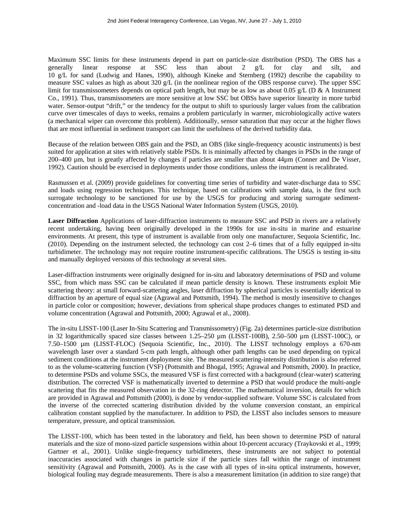Maximum SSC limits for these instruments depend in part on particle-size distribution (PSD). The OBS has a generally linear response at SSC less than about 2 g/L for clay and silt, and generally linear response at SSC less than about 2 g/L for clay and silt, and 10 g/L for sand (Ludwig and Hanes, 1990), although Kineke and Sternberg (1992) describe the capability to measure SSC values as high as about 320 g/L (in the nonlinear region of the OBS response curve). The upper SSC limit for transmissometers depends on optical path length, but may be as low as about 0.05 g/L (D & A Instrument Co., 1991). Thus, transmissometers are more sensitive at low SSC but OBSs have superior linearity in more turbid water. Sensor-output "drift," or the tendency for the output to shift to spuriously larger values from the calibration curve over timescales of days to weeks, remains a problem particularly in warmer, microbiologically active waters (a mechanical wiper can overcome this problem). Additionally, sensor saturation that may occur at the higher flows that are most influential in sediment transport can limit the usefulness of the derived turbidity data.

Because of the relation between OBS gain and the PSD, an OBS (like single-frequency acoustic instruments) is best suited for application at sites with relatively stable PSDs. It is minimally affected by changes in PSDs in the range of 200–400 µm, but is greatly affected by changes if particles are smaller than about 44µm (Conner and De Visser, 1992). Caution should be exercised in deployments under those conditions, unless the instrument is recalibrated.

Rasmussen et al. (2009) provide guidelines for converting time series of turbidity and water-discharge data to SSC and loads using regression techniques. This technique, based on calibrations with sample data, is the first such surrogate technology to be sanctioned for use by the USGS for producing and storing surrogate sedimentconcentration and -load data in the USGS National Water Information System (USGS, 2010).

**Laser Diffraction** Applications of laser-diffraction instruments to measure SSC and PSD in rivers are a relatively recent undertaking, having been originally developed in the 1990s for use in-situ in marine and estuarine environments. At present, this type of instrument is available from only one manufacturer, Sequoia Scientific, Inc. (2010). Depending on the instrument selected, the technology can cost 2–6 times that of a fully equipped in-situ turbidimeter. The technology may not require routine instrument-specific calibrations. The USGS is testing in-situ and manually deployed versions of this technology at several sites.

Laser-diffraction instruments were originally designed for in-situ and laboratory determinations of PSD and volume SSC, from which mass SSC can be calculated if mean particle density is known. These instruments exploit Mie scattering theory: at small forward-scattering angles, laser diffraction by spherical particles is essentially identical to diffraction by an aperture of equal size (Agrawal and Pottsmith, 1994). The method is mostly insensitive to changes in particle color or composition; however, deviations from spherical shape produces changes to estimated PSD and volume concentration (Agrawal and Pottsmith, 2000; Agrawal et al., 2008).

The in-situ LISST-100 (Laser In-Situ Scattering and Transmissometry) (Fig. 2a) determines particle-size distribution in 32 logarithmically spaced size classes between 1.25–250  $\mu$ m (LISST-100B), 2.50–500  $\mu$ m (LISST-100C), or 7.50–1500 µm (LISST-FLOC) (Sequoia Scientific, Inc., 2010). The LISST technology employs a 670-nm wavelength laser over a standard 5-cm path length, although other path lengths can be used depending on typical sediment conditions at the instrument deployment site. The measured scattering-intensity distribution is also referred to as the volume-scattering function (VSF) (Pottsmith and Bhogal, 1995; Agrawal and Pottsmith, 2000). In practice, to determine PSDs and volume SSCs, the measured VSF is first corrected with a background (clear-water) scattering distribution. The corrected VSF is mathematically inverted to determine a PSD that would produce the multi-angle scattering that fits the measured observation in the 32-ring detector. The mathematical inversion, details for which are provided in Agrawal and Pottsmith (2000), is done by vendor-supplied software. Volume SSC is calculated from the inverse of the corrected scattering distribution divided by the volume conversion constant, an empirical calibration constant supplied by the manufacturer. In addition to PSD, the LISST also includes sensors to measure temperature, pressure, and optical transmission.

The LISST-100, which has been tested in the laboratory and field, has been shown to determine PSD of natural materials and the size of mono-sized particle suspensions within about 10-percent accuracy (Traykovski et al., 1999; Gartner et al., 2001). Unlike single-frequency turbidimeters, these instruments are not subject to potential inaccuracies associated with changes in particle size if the particle sizes fall within the range of instrument sensitivity (Agrawal and Pottsmith, 2000). As is the case with all types of in-situ optical instruments, however, biological fouling may degrade measurements. There is also a measurement limitation (in addition to size range) that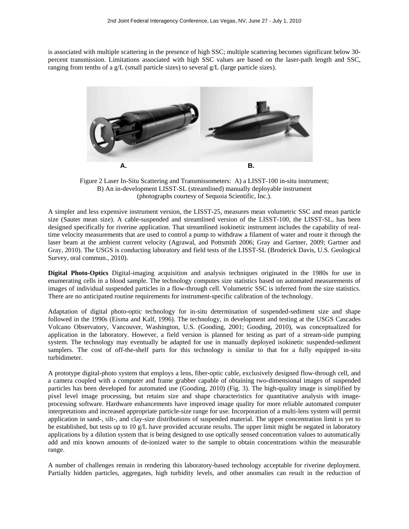is associated with multiple scattering in the presence of high SSC; multiple scattering becomes significant below 30 percent transmission. Limitations associated with high SSC values are based on the laser-path length and SSC, ranging from tenths of a g/L (small particle sizes) to several g/L (large particle sizes).



Figure 2 Laser In-Situ Scattering and Transmissometers: A) a LISST-100 in-situ instrument; B) An in-development LISST-SL (streamlined) manually deployable instrument (photographs courtesy of Sequoia Scientific, Inc.).

A simpler and less expensive instrument version, the LISST-25, measures mean volumetric SSC and mean particle size (Sauter mean size). A cable-suspended and streamlined version of the LISST-100, the LISST-SL, has been designed specifically for riverine application. That streamlined isokinetic instrument includes the capability of realtime velocity measurements that are used to control a pump to withdraw a filament of water and route it through the laser beam at the ambient current velocity (Agrawal, and Pottsmith 2006; Gray and Gartner, 2009; Gartner and Gray, 2010). The USGS is conducting laboratory and field tests of the LISST-SL (Broderick Davis, U.S. Geological Survey, oral commun., 2010).

**Digital Photo-Optics** Digital-imaging acquisition and analysis techniques originated in the 1980s for use in enumerating cells in a blood sample. The technology computes size statistics based on automated measurements of images of individual suspended particles in a flow-through cell. Volumetric SSC is inferred from the size statistics. There are no anticipated routine requirements for instrument-specific calibration of the technology.

Adaptation of digital photo-optic technology for in-situ determination of suspended-sediment size and shape followed in the 1990s (Eisma and Kalf, 1996). The technology, in development and testing at the USGS Cascades Volcano Observatory, Vancouver, Washington, U.S. (Gooding, 2001; Gooding, 2010), was conceptualized for application in the laboratory. However, a field version is planned for testing as part of a stream-side pumping system. The technology may eventually be adapted for use in manually deployed isokinetic suspended-sediment samplers. The cost of off-the-shelf parts for this technology is similar to that for a fully equipped in-situ turbidimeter.

A prototype digital-photo system that employs a lens, fiber-optic cable, exclusively designed flow-through cell, and a camera coupled with a computer and frame grabber capable of obtaining two-dimensional images of suspended particles has been developed for automated use (Gooding, 2010) (Fig. 3). The high-quality image is simplified by pixel level image processing, but retains size and shape characteristics for quantitative analysis with imageprocessing software. Hardware enhancements have improved image quality for more reliable automated computer interpretations and increased appropriate particle-size range for use. Incorporation of a multi-lens system will permit application in sand-, silt-, and clay-size distributions of suspended material. The upper concentration limit is yet to be established, but tests up to 10 g/L have provided accurate results. The upper limit might be negated in laboratory applications by a dilution system that is being designed to use optically sensed concentration values to automatically add and mix known amounts of de-ionized water to the sample to obtain concentrations within the measurable range.

A number of challenges remain in rendering this laboratory-based technology acceptable for riverine deployment. Partially hidden particles, aggregates, high turbidity levels, and other anomalies can result in the reduction of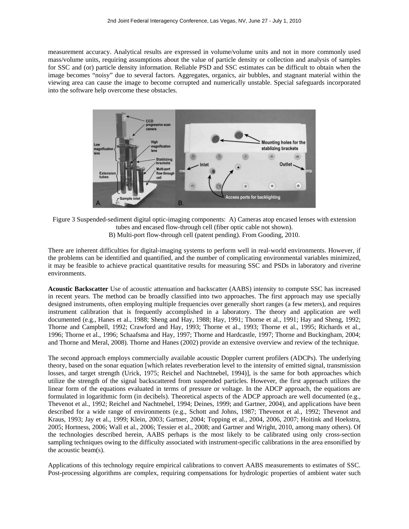measurement accuracy. Analytical results are expressed in volume/volume units and not in more commonly used mass/volume units, requiring assumptions about the value of particle density or collection and analysis of samples for SSC and (or) particle density information. Reliable PSD and SSC estimates can be difficult to obtain when the image becomes "noisy" due to several factors. Aggregates, organics, air bubbles, and stagnant material within the viewing area can cause the image to become corrupted and numerically unstable. Special safeguards incorporated into the software help overcome these obstacles.



Figure 3 Suspended-sediment digital optic-imaging components: A) Cameras atop encased lenses with extension tubes and encased flow-through cell (fiber optic cable not shown). B) Multi-port flow-through cell (patent pending). From Gooding, 2010.

There are inherent difficulties for digital-imaging systems to perform well in real-world environments. However, if the problems can be identified and quantified, and the number of complicating environmental variables minimized, it may be feasible to achieve practical quantitative results for measuring SSC and PSDs in laboratory and riverine environments.

**Acoustic Backscatter** Use of acoustic attenuation and backscatter (AABS) intensity to compute SSC has increased in recent years. The method can be broadly classified into two approaches. The first approach may use specially designed instruments, often employing multiple frequencies over generally short ranges (a few meters), and requires instrument calibration that is frequently accomplished in a laboratory. The theory and application are well documented (e.g., Hanes et al., 1988; Sheng and Hay, 1988; Hay, 1991; Thorne et al., 1991; Hay and Sheng, 1992; Thorne and Campbell, 1992; Crawford and Hay, 1993; Thorne et al., 1993; Thorne et al., 1995; Richards et al., 1996; Thorne et al., 1996; Schaafsma and Hay, 1997; Thorne and Hardcastle, 1997; Thorne and Buckingham, 2004; and Thorne and Meral, 2008). Thorne and Hanes (2002) provide an extensive overview and review of the technique.

The second approach employs commercially available acoustic Doppler current profilers (ADCPs). The underlying theory, based on the sonar equation [which relates reverberation level to the intensity of emitted signal, transmission losses, and target strength (Urick, 1975; Reichel and Nachtnebel, 1994)], is the same for both approaches which utilize the strength of the signal backscattered from suspended particles. However, the first approach utilizes the linear form of the equations evaluated in terms of pressure or voltage. In the ADCP approach, the equations are formulated in logarithmic form (in decibels). Theoretical aspects of the ADCP approach are well documented (e.g., Thevenot et al., 1992; Reichel and Nachtnebel, 1994; Deines, 1999; and Gartner, 2004), and applications have been described for a wide range of environments (e.g., Schott and Johns, 1987; Thevenot et al., 1992; Thevenot and Kraus, 1993; Jay et al., 1999; Klein, 2003; Gartner, 2004; Topping et al., 2004, 2006, 2007; Hoitink and Hoekstra, 2005; Hortness, 2006; Wall et al., 2006; Tessier et al., 2008; and Gartner and Wright, 2010, among many others). Of the technologies described herein, AABS perhaps is the most likely to be calibrated using only cross-section sampling techniques owing to the difficulty associated with instrument-specific calibrations in the area ensonified by the acoustic beam(s).

Applications of this technology require empirical calibrations to convert AABS measurements to estimates of SSC. Post-processing algorithms are complex, requiring compensations for hydrologic properties of ambient water such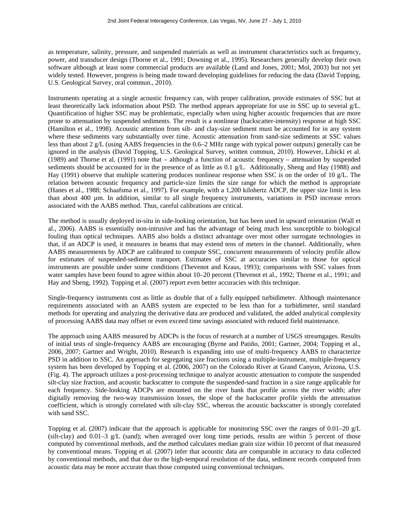as temperature, salinity, pressure, and suspended materials as well as instrument characteristics such as frequency, power, and transducer design (Thorne et al., 1991; Downing et al., 1995). Researchers generally develop their own software although at least some commercial products are available (Land and Jones, 2001; Mol, 2003) but not yet widely tested. However, progress is being made toward developing guidelines for reducing the data (David Topping, U.S. Geological Survey, oral commun., 2010).

Instruments operating at a single acoustic frequency can, with proper calibration, provide estimates of SSC but at least theoretically lack information about PSD. The method appears appropriate for use in SSC up to several g/L. Quantification of higher SSC may be problematic, especially when using higher acoustic frequencies that are more prone to attenuation by suspended sediments. The result is a nonlinear (backscatter-intensity) response at high SSC (Hamilton et al., 1998). Acoustic attention from silt- and clay-size sediment must be accounted for in any system where these sediments vary substantially over time. Acoustic attenuation from sand-size sediments at SSC values less than about 2 g/L (using AABS frequencies in the 0.6–2 MHz range with typical power outputs) generally can be ignored in the analysis (David Topping, U.S. Geological Survey, written commun, 2010). However, Libicki et al. (1989) and Thorne et al. (1991) note that – although a function of acoustic frequency – attenuation by suspended sediments should be accounted for in the presence of as little as 0.1 g/L. Additionally, Sheng and Hay (1988) and Hay (1991) observe that multiple scattering produces nonlinear response when SSC is on the order of 10 g/L. The relation between acoustic frequency and particle-size limits the size range for which the method is appropriate (Hanes et al., 1988; Schaafsma et al., 1997). For example, with a 1,200 kilohertz ADCP, the upper size limit is less than about 400 µm. In addition, similar to all single frequency instruments, variations in PSD increase errors associated with the AABS method. Thus, careful calibrations are critical.

The method is usually deployed in-situ in side-looking orientation, but has been used in upward orientation (Wall et al., 2006). AABS is essentially non-intrusive and has the advantage of being much less susceptible to biological fouling than optical techniques. AABS also holds a distinct advantage over most other surrogate technologies in that, if an ADCP is used, it measures in beams that may extend tens of meters in the channel. Additionally, when AABS measurements by ADCP are calibrated to compute SSC, concurrent measurements of velocity profile allow for estimates of suspended-sediment transport. Estimates of SSC at accuracies similar to those for optical instruments are possible under some conditions (Thevenot and Kraus, 1993); comparisons with SSC values from water samples have been found to agree within about 10–20 percent (Thevenot et al., 1992; Thorne et al., 1991; and Hay and Sheng, 1992). Topping et al. (2007) report even better accuracies with this technique.

Single-frequency instruments cost as little as double that of a fully equipped turbidimeter. Although maintenance requirements associated with an AABS system are expected to be less than for a turbidimeter, until standard methods for operating and analyzing the derivative data are produced and validated, the added analytical complexity of processing AABS data may offset or even exceed time savings associated with reduced field maintenance.

The approach using AABS measured by ADCPs is the focus of research at a number of USGS streamgages. Results of initial tests of single-frequency AABS are encouraging (Byrne and Patiño, 2001; Gartner, 2004; Topping et al., 2006, 2007; Gartner and Wright, 2010). Research is expanding into use of multi-frequency AABS to characterize PSD in addition to SSC. An approach for segregating size fractions using a multiple-instrument, multiple-frequency system has been developed by Topping et al. (2006, 2007) on the Colorado River at Grand Canyon, Arizona, U.S. (Fig. 4). The approach utilizes a post-processing technique to analyze acoustic attenuation to compute the suspended silt-clay size fraction, and acoustic backscatter to compute the suspended-sand fraction in a size range applicable for each frequency. Side-looking ADCPs are mounted on the river bank that profile across the river width; after digitally removing the two-way transmission losses, the slope of the backscatter profile yields the attenuation coefficient, which is strongly correlated with silt-clay SSC, whereas the acoustic backscatter is strongly correlated with sand SSC.

Topping et al. (2007) indicate that the approach is applicable for monitoring SSC over the ranges of 0.01–20 g/L (silt-clay) and 0.01–3 g/L (sand); when averaged over long time periods, results are within 5 percent of those computed by conventional methods, and the method calculates median grain size within 10 percent of that measured by conventional means. Topping et al. (2007) infer that acoustic data are comparable in accuracy to data collected by conventional methods, and that due to the high-temporal resolution of the data, sediment records computed from acoustic data may be more accurate than those computed using conventional techniques.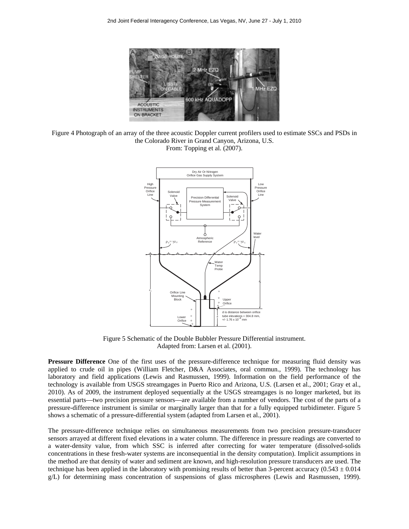

Figure 4 Photograph of an array of the three acoustic Doppler current profilers used to estimate SSCs and PSDs in the Colorado River in Grand Canyon, Arizona, U.S. From: Topping et al. (2007).



Figure 5 Schematic of the Double Bubbler Pressure Differential instrument. Adapted from: Larsen et al. (2001).

**Pressure Difference** One of the first uses of the pressure-difference technique for measuring fluid density was applied to crude oil in pipes (William Fletcher, D&A Associates, oral commun., 1999). The technology has laboratory and field applications (Lewis and Rasmussen, 1999). Information on the field performance of the technology is available from USGS streamgages in Puerto Rico and Arizona, U.S. (Larsen et al., 2001; Gray et al., 2010). As of 2009, the instrument deployed sequentially at the USGS streamgages is no longer marketed, but its essential parts—two precision pressure sensors—are available from a number of vendors. The cost of the parts of a pressure-difference instrument is similar or marginally larger than that for a fully equipped turbidimeter. Figure 5 shows a schematic of a pressure-differential system (adapted from Larsen et al., 2001).

The pressure-difference technique relies on simultaneous measurements from two precision pressure-transducer sensors arrayed at different fixed elevations in a water column. The difference in pressure readings are converted to a water-density value, from which SSC is inferred after correcting for water temperature (dissolved-solids concentrations in these fresh-water systems are inconsequential in the density computation). Implicit assumptions in the method are that density of water and sediment are known, and high-resolution pressure transducers are used. The technique has been applied in the laboratory with promising results of better than 3-percent accuracy (0.543  $\pm$  0.014 g/L) for determining mass concentration of suspensions of glass microspheres (Lewis and Rasmussen, 1999).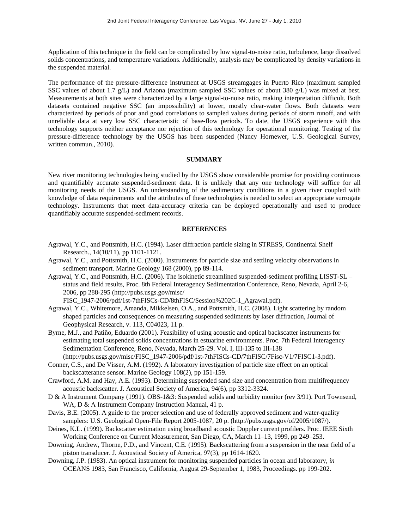Application of this technique in the field can be complicated by low signal-to-noise ratio, turbulence, large dissolved solids concentrations, and temperature variations. Additionally, analysis may be complicated by density variations in the suspended material.

The performance of the pressure-difference instrument at USGS streamgages in Puerto Rico (maximum sampled SSC values of about 1.7 g/L) and Arizona (maximum sampled SSC values of about 380 g/L) was mixed at best. Measurements at both sites were characterized by a large signal-to-noise ratio, making interpretation difficult. Both datasets contained negative SSC (an impossibility) at lower, mostly clear-water flows. Both datasets were characterized by periods of poor and good correlations to sampled values during periods of storm runoff, and with unreliable data at very low SSC characteristic of base-flow periods. To date, the USGS experience with this technology supports neither acceptance nor rejection of this technology for operational monitoring. Testing of the pressure-difference technology by the USGS has been suspended (Nancy Hornewer, U.S. Geological Survey, written commun., 2010).

### **SUMMARY**

New river monitoring technologies being studied by the USGS show considerable promise for providing continuous and quantifiably accurate suspended-sediment data. It is unlikely that any one technology will suffice for all monitoring needs of the USGS. An understanding of the sedimentary conditions in a given river coupled with knowledge of data requirements and the attributes of these technologies is needed to select an appropriate surrogate technology. Instruments that meet data-accuracy criteria can be deployed operationally and used to produce quantifiably accurate suspended-sediment records.

#### **REFERENCES**

- Agrawal, Y.C., and Pottsmith, H.C. (1994). Laser diffraction particle sizing in STRESS, Continental Shelf Research., 14(10/11), pp 1101-1121.
- Agrawal, Y.C., and Pottsmith, H.C. (2000). Instruments for particle size and settling velocity observations in sediment transport. Marine Geology 168 (2000), pp 89-114.
- Agrawal, Y.C., and Pottsmith, H.C. (2006). The isokinetic streamlined suspended-sediment profiling LISST-SL status and field results, Proc. 8th Federal Interagency Sedimentation Conference, Reno, Nevada, April 2-6, 2006, pp 288-295 (http://pubs.usgs.gov/misc/

FISC\_1947-2006/pdf/1st-7thFISCs-CD/8thFISC/Session%202C-1\_Agrawal.pdf).

- Agrawal, Y.C., Whitemore, Amanda, Mikkelsen, O.A., and Pottsmith, H.C. (2008). Light scattering by random shaped particles and consequences on measuring suspended sediments by laser diffraction, Journal of Geophysical Research, v. 113, C04023, 11 p.
- Byrne, M.J., and Patiño, Eduardo (2001). Feasibility of using acoustic and optical backscatter instruments for estimating total suspended solids concentrations in estuarine environments. Proc. 7th Federal Interagency Sedimentation Conference, Reno, Nevada, March 25-29. Vol. I, III-135 to III-138 (http://pubs.usgs.gov/misc/FISC\_1947-2006/pdf/1st-7thFISCs-CD/7thFISC/7Fisc-V1/7FISC1-3.pdf).
- Conner, C.S., and De Visser, A.M. (1992). A laboratory investigation of particle size effect on an optical backscatterance sensor. Marine Geology 108(2), pp 151-159.
- Crawford, A.M. and Hay, A.E. (1993). Determining suspended sand size and concentration from multifrequency acoustic backscatter. J. Acoustical Society of America, 94(6), pp 3312-3324.
- D & A Instrument Company (1991). OBS-1&3: Suspended solids and turbidity monitor (rev 3/91). Port Townsend, WA, D & A Instrument Company Instruction Manual, 41 p.
- Davis, B.E. (2005). A guide to the proper selection and use of federally approved sediment and water-quality samplers: U.S. Geological Open-File Report 2005-1087, 20 p. (http://pubs.usgs.gov/of/2005/1087/).
- Deines, K.L. (1999). Backscatter estimation using broadband acoustic Doppler current profilers. Proc. IEEE Sixth Working Conference on Current Measurement, San Diego, CA, March 11–13, 1999, pp 249–253.
- Downing, Andrew, Thorne, P.D., and Vincent, C.E. (1995). Backscattering from a suspension in the near field of a piston transducer. J. Acoustical Society of America, 97(3), pp 1614-1620.
- Downing, J.P. (1983). An optical instrument for monitoring suspended particles in ocean and laboratory, *in* OCEANS 1983, San Francisco, California, August 29-September 1, 1983, Proceedings. pp 199-202.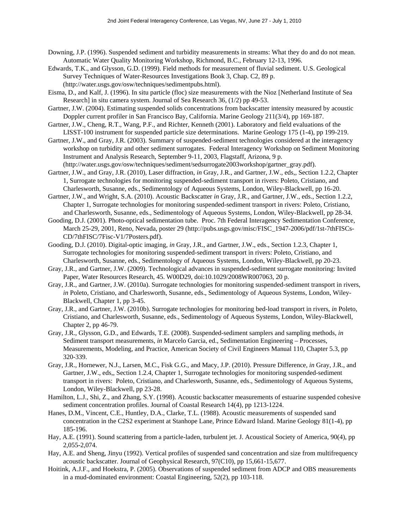- Downing, J.P. (1996). Suspended sediment and turbidity measurements in streams: What they do and do not mean. Automatic Water Quality Monitoring Workshop, Richmond, B.C., February 12-13, 1996.
- Edwards, T.K., and Glysson, G.D. (1999). Field methods for measurement of fluvial sediment. U.S. Geological Survey Techniques of Water-Resources Investigations Book 3, Chap. C2, 89 p. (http://water.usgs.gov/osw/techniques/sedimentpubs.html).
- Eisma, D., and Kalf, J. (1996). In situ particle (floc) size measurements with the Nioz [Netherland Institute of Sea Research] in situ camera system. Journal of Sea Research 36, (1/2) pp 49-53.
- Gartner, J.W. (2004). Estimating suspended solids concentrations from backscatter intensity measured by acoustic Doppler current profiler in San Francisco Bay, California. Marine Geology 211(3/4), pp 169-187.
- Gartner, J.W., Cheng, R.T., Wang, P.F., and Richter, Kenneth (2001). Laboratory and field evaluations of the LISST-100 instrument for suspended particle size determinations. Marine Geology 175 (1-4), pp 199-219.
- Gartner, J.W., and Gray, J.R. (2003). Summary of suspended-sediment technologies considered at the interagency workshop on turbidity and other sediment surrogates. Federal Interagency Workshop on Sediment Monitoring Instrument and Analysis Research, September 9-11, 2003, Flagstaff, Arizona, 9 p. (http://water.usgs.gov/osw/techniques/sediment/sedsurrogate2003workshop/gartner\_gray.pdf).
- Gartner, J.W., and Gray, J.R. (2010), Laser diffraction, *in* Gray, J.R., and Gartner, J.W., eds,, Section 1.2.2, Chapter 1, Surrogate technologies for monitoring suspended-sediment transport in rivers: Poleto, Cristiano, and Charlesworth, Susanne, eds., Sedimentology of Aqueous Systems, London, Wiley-Blackwell, pp 16-20.
- Gartner, J.W., and Wright, S.A. (2010). Acoustic Backscatter *in* Gray, J.R., and Gartner, J.W., eds., Section 1.2.2, Chapter 1, Surrogate technologies for monitoring suspended-sediment transport in rivers: Poleto, Cristiano, and Charlesworth, Susanne, eds., Sedimentology of Aqueous Systems, London, Wiley-Blackwell, pp 28-34.
- Gooding, D.J. (2001). Photo-optical sedimentation tube. Proc. 7th Federal Interagency Sedimentation Conference, March 25-29, 2001, Reno, Nevada, poster 29 (http://pubs.usgs.gov/misc/FISC\_1947-2006/pdf/1st-7thFISCs-CD/7thFISC/7Fisc-V1/7Posters.pdf).
- Gooding, D.J. (2010). Digital-optic imaging, *in* Gray, J.R., and Gartner, J.W., eds., Section 1.2.3, Chapter 1, Surrogate technologies for monitoring suspended-sediment transport in rivers: Poleto, Cristiano, and Charlesworth, Susanne, eds., Sedimentology of Aqueous Systems, London, Wiley-Blackwell, pp 20-23.
- Gray, J.R., and Gartner, J.W. (2009). Technological advances in suspended-sediment surrogate monitoring: Invited Paper, Water Resources Research, 45. W00D29, doi:10.1029/2008WR007063, 20 p.
- Gray, J.R., and Gartner, J.W. (2010a). Surrogate technologies for monitoring suspended-sediment transport in rivers, *in* Poleto, Cristiano, and Charlesworth, Susanne, eds., Sedimentology of Aqueous Systems, London, Wiley-Blackwell, Chapter 1, pp 3-45.
- Gray, J.R., and Gartner, J.W. (2010b). Surrogate technologies for monitoring bed-load transport in rivers, *in* Poleto, Cristiano, and Charlesworth, Susanne, eds., Sedimentology of Aqueous Systems, London, Wiley-Blackwell, Chapter 2, pp 46-79.
- Gray, J.R., Glysson, G.D., and Edwards, T.E. (2008). Suspended-sediment samplers and sampling methods, *in* Sediment transport measurements, *in* Marcelo Garcia, ed., Sedimentation Engineering – Processes, Measurements, Modeling, and Practice, American Society of Civil Engineers Manual 110, Chapter 5.3, pp 320-339.
- Gray, J.R., Hornewer, N.J., Larsen, M.C., Fisk G.G., and Macy, J.P. (2010). Pressure Difference, *in* Gray, J.R., and Gartner, J.W., eds,, Section 1.2.4, Chapter 1, Surrogate technologies for monitoring suspended-sediment transport in rivers: Poleto, Cristiano, and Charlesworth, Susanne, eds., Sedimentology of Aqueous Systems, London, Wiley-Blackwell, pp 23-28.
- Hamilton, L.J., Shi, Z., and Zhang, S.Y. (1998). Acoustic backscatter measurements of estuarine suspended cohesive sediment concentration profiles. Journal of Coastal Research 14(4), pp 1213-1224.
- Hanes, D.M., Vincent, C.E., Huntley, D.A., Clarke, T.L. (1988). Acoustic measurements of suspended sand concentration in the C2S2 experiment at Stanhope Lane, Prince Edward Island. Marine Geology 81(1-4), pp 185-196.
- Hay, A.E. (1991). Sound scattering from a particle-laden, turbulent jet. J. Acoustical Society of America, 90(4), pp 2,055-2,074.
- Hay, A.E. and Sheng, Jinyu (1992). Vertical profiles of suspended sand concentration and size from multifrequency acoustic backscatter. Journal of Geophysical Research, 97(C10), pp 15,661-15,677.
- Hoitink, A.J.F., and Hoekstra, P. (2005). Observations of suspended sediment from ADCP and OBS measurements in a mud-dominated environment: Coastal Engineering, 52(2), pp 103-118.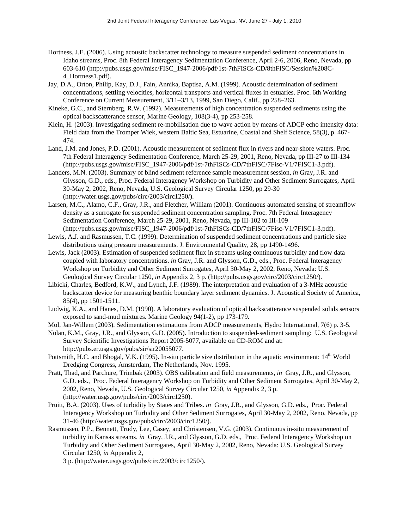- Hortness, J.E. (2006). Using acoustic backscatter technology to measure suspended sediment concentrations in Idaho streams, Proc. 8th Federal Interagency Sedimentation Conference, April 2-6, 2006, Reno, Nevada, pp 603-610 (http://pubs.usgs.gov/misc/FISC\_1947-2006/pdf/1st-7thFISCs-CD/8thFISC/Session%208C-4\_Hortness1.pdf).
- Jay, D.A., Orton, Philip, Kay, D.J., Fain, Annika, Baptisa, A.M. (1999). Acoustic determination of sediment concentrations, settling velocities, horizontal transports and vertical fluxes in estuaries. Proc. 6th Working Conference on Current Measurement, 3/11–3/13, 1999, San Diego, Calif., pp 258–263.
- Kineke, G.C., and Sternberg, R.W. (1992). Measurements of high concentration suspended sediments using the optical backscatterance sensor, Marine Geology, 108(3-4), pp 253-258.
- Klein, H. (2003). Investigating sediment re-mobilisation due to wave action by means of ADCP echo intensity data: Field data from the Tromper Wiek, western Baltic Sea, Estuarine, Coastal and Shelf Science, 58(3), p. 467- 474.
- Land, J.M. and Jones, P.D. (2001). Acoustic measurement of sediment flux in rivers and near-shore waters. Proc. 7th Federal Interagency Sedimentation Conference, March 25-29, 2001, Reno, Nevada, pp III-27 to III-134 (http://pubs.usgs.gov/misc/FISC\_1947-2006/pdf/1st-7thFISCs-CD/7thFISC/7Fisc-V1/7FISC1-3.pdf).
- Landers, M.N. (2003). Summary of blind sediment reference sample measurement session, *in* Gray, J.R. and Glysson, G.D., eds., Proc. Federal Interagency Workshop on Turbidity and Other Sediment Surrogates, April 30-May 2, 2002, Reno, Nevada, U.S. Geological Survey Circular 1250, pp 29-30 (http://water.usgs.gov/pubs/circ/2003/circ1250/).
- Larsen, M.C., Alamo, C.F., Gray, J.R., and Fletcher, William (2001). Continuous automated sensing of streamflow density as a surrogate for suspended sediment concentration sampling. Proc. 7th Federal Interagency Sedimentation Conference, March 25-29, 2001, Reno, Nevada, pp III-102 to III-109
- (http://pubs.usgs.gov/misc/FISC\_1947-2006/pdf/1st-7thFISCs-CD/7thFISC/7Fisc-V1/7FISC1-3.pdf). Lewis, A.J. and Rasmussen, T.C. (1999). Determination of suspended sediment concentrations and particle size distributions using pressure measurements. J. Environmental Quality, 28, pp 1490-1496.
- Lewis, Jack (2003). Estimation of suspended sediment flux in streams using continuous turbidity and flow data coupled with laboratory concentrations. *in* Gray, J.R. and Glysson, G.D., eds., Proc. Federal Interagency Workshop on Turbidity and Other Sediment Surrogates, April 30-May 2, 2002, Reno, Nevada: U.S. Geological Survey Circular 1250, *in* Appendix 2, 3 p. (http://pubs.usgs.gov/circ/2003/circ1250/).
- Libicki, Charles, Bedford, K.W., and Lynch, J.F. (1989). The interpretation and evaluation of a 3-MHz acoustic backscatter device for measuring benthic boundary layer sediment dynamics. J. Acoustical Society of America, 85(4), pp 1501-1511.
- Ludwig, K.A., and Hanes, D.M. (1990). A laboratory evaluation of optical backscatterance suspended solids sensors exposed to sand-mud mixtures. Marine Geology 94(1-2), pp 173-179.
- Mol, Jan-Willem (2003). Sedimentation estimations from ADCP measurements, Hydro International, 7(6) p. 3-5.
- Nolan, K.M., Gray, J.R., and Glysson, G.D. (2005). Introduction to suspended-sediment sampling: U.S. Geological Survey Scientific Investigations Report 2005-5077, available on CD-ROM and at: http://pubs.er.usgs.gov/pubs/sir/sir20055077.
- Pottsmith, H.C. and Bhogal, V.K. (1995). In-situ particle size distribution in the aquatic environment:  $14<sup>th</sup>$  World Dredging Congress, Amsterdam, The Netherlands, Nov. 1995.
- Pratt, Thad, and Parchure, Trimbak (2003). OBS calibration and field measurements, *in* Gray, J.R., and Glysson, G.D. eds., Proc. Federal Interagency Workshop on Turbidity and Other Sediment Surrogates, April 30-May 2, 2002, Reno, Nevada, U.S. Geological Survey Circular 1250, *in* Appendix 2, 3 p. (http://water.usgs.gov/pubs/circ/2003/circ1250).
- Pruitt, B.A. (2003). Uses of turbidity by States and Tribes. *in* Gray, J.R., and Glysson, G.D. eds., Proc. Federal Interagency Workshop on Turbidity and Other Sediment Surrogates, April 30-May 2, 2002, Reno, Nevada, pp 31-46 (http://water.usgs.gov/pubs/circ/2003/circ1250/).
- Rasmussen, P.P., Bennett, Trudy, Lee, Casey, and Christensen, V.G. (2003). Continuous in-situ measurement of turbidity in Kansas streams. *in* Gray, J.R., and Glysson, G.D. eds., Proc. Federal Interagency Workshop on Turbidity and Other Sediment Surrogates, April 30-May 2, 2002, Reno, Nevada: U.S. Geological Survey Circular 1250, *in* Appendix 2,

3 p. (http://water.usgs.gov/pubs/circ/2003/circ1250/).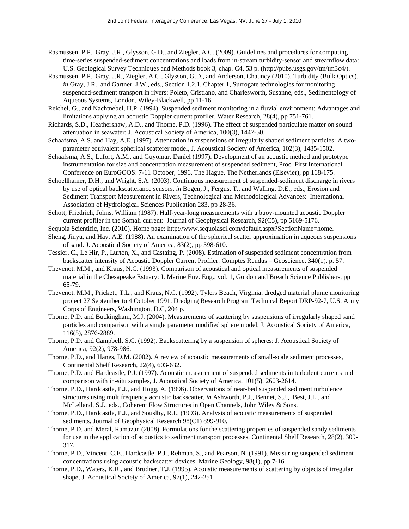- Rasmussen, P.P., Gray, J.R., Glysson, G.D., and Ziegler, A.C. (2009). Guidelines and procedures for computing time-series suspended-sediment concentrations and loads from in-stream turbidity-sensor and streamflow data: U.S. Geological Survey Techniques and Methods book 3, chap. C4, 53 p. (http://pubs.usgs.gov/tm/tm3c4/).
- Rasmussen, P.P., Gray, J.R., Ziegler, A.C., Glysson, G.D., and Anderson, Chauncy (2010). Turbidity (Bulk Optics), *in* Gray, J.R., and Gartner, J.W., eds., Section 1.2.1, Chapter 1, Surrogate technologies for monitoring suspended-sediment transport in rivers: Poleto, Cristiano, and Charlesworth, Susanne, eds., Sedimentology of Aqueous Systems, London, Wiley-Blackwell, pp 11-16.
- Reichel, G., and Nachtnebel, H.P. (1994). Suspended sediment monitoring in a fluvial environment: Advantages and limitations applying an acoustic Doppler current profiler. Water Research, 28(4), pp 751-761.
- Richards, S.D., Heathershaw, A.D., and Thorne, P.D. (1996). The effect of suspended particulate matter on sound attenuation in seawater: J. Acoustical Society of America, 100(3), 1447-50.
- Schaafsma, A.S. and Hay, A.E. (1997). Attenuation in suspensions of irregularly shaped sediment particles: A twoparameter equivalent spherical scatterer model, J. Acoustical Society of America, 102(3), 1485-1502.
- Schaafsma, A.S., Lafort, A.M., and Guyomar, Daniel (1997). Development of an acoustic method and prototype instrumentation for size and concentration measurement of suspended sediment, Proc. First International Conference on EuroGOOS: 7-11 October, 1996, The Hague, The Netherlands (Elsevier), pp 168-175.
- Schoellhamer, D.H., and Wright, S.A. (2003). Continuous measurement of suspended-sediment discharge in rivers by use of optical backscatterance sensors, *in* Bogen, J., Fergus, T., and Walling, D.E., eds., Erosion and Sediment Transport Measurement in Rivers, Technological and Methodological Advances: International Association of Hydrological Sciences Publication 283, pp 28-36.
- Schott, Friedrich, Johns, William (1987). Half-year-long measurements with a buoy-mounted acoustic Doppler current profiler in the Somali current: Journal of Geophysical Research, 92(C5), pp 5169-5176.
- Sequoia Scientific, Inc. (2010). Home page: http://www.sequoiasci.com/default.aspx?SectionName=home.
- Sheng, Jinyu, and Hay, A.E. (1988). An examination of the spherical scatter approximation in aqueous suspensions of sand. J. Acoustical Society of America, 83(2), pp 598-610.
- Tessier, C., Le Hir, P., Lurton, X., and Castaing, P. (2008). Estimation of suspended sediment concentration from backscatter intensity of Acoustic Doppler Current Profiler: Comptes Rendus – Geoscience, 340(1), p. 57.
- Thevenot, M.M., and Kraus, N.C. (1993). Comparison of acoustical and optical measurements of suspended material in the Chesapeake Estuary: J. Marine Env. Eng., vol. 1, Gordon and Breach Science Publishers, pp 65-79.
- Thevenot, M.M., Prickett, T.L., and Kraus, N.C. (1992). Tylers Beach, Virginia, dredged material plume monitoring project 27 September to 4 October 1991. Dredging Research Program Technical Report DRP-92-7, U.S. Army Corps of Engineers, Washington, D.C, 204 p.
- Thorne, P.D. and Buckingham, M.J. (2004). Measurements of scattering by suspensions of irregularly shaped sand particles and comparison with a single parameter modified sphere model, J. Acoustical Society of America, 116(5), 2876-2889.
- Thorne, P.D. and Campbell, S.C. (1992). Backscattering by a suspension of spheres: J. Acoustical Society of America, 92(2), 978-986.
- Thorne, P.D., and Hanes, D.M. (2002). A review of acoustic measurements of small-scale sediment processes, Continental Shelf Research, 22(4), 603-632.
- Thorne, P.D. and Hardcastle, P.J. (1997). Acoustic measurement of suspended sediments in turbulent currents and comparison with in-situ samples, J. Acoustical Society of America, 101(5), 2603-2614.
- Thorne, P.D., Hardcastle, P.J., and Hogg, A. (1996). Observations of near-bed suspended sediment turbulence structures using multifrequency acoustic backscatter, *in* Ashworth, P.J., Bennet, S.J., Best, J.L., and McLelland, S.J., eds., Coherent Flow Structures in Open Channels, John Wiley & Sons.
- Thorne, P.D., Hardcastle, P.J., and Souslby, R.L. (1993). Analysis of acoustic measurements of suspended sediments, Journal of Geophysical Research 98(C1) 899-910.
- Thorne, P.D. and Meral, Ramazan (2008). Formulations for the scattering properties of suspended sandy sediments for use in the application of acoustics to sediment transport processes, Continental Shelf Research, 28(2), 309- 317.
- Thorne, P.D., Vincent, C.E., Hardcastle, P.J., Rehman, S., and Pearson, N. (1991). Measuring suspended sediment concentrations using acoustic backscatter devices. Marine Geology, 98(1), pp 7-16.
- Thorne, P.D., Waters, K.R., and Brudner, T.J. (1995). Acoustic measurements of scattering by objects of irregular shape, J. Acoustical Society of America, 97(1), 242-251.